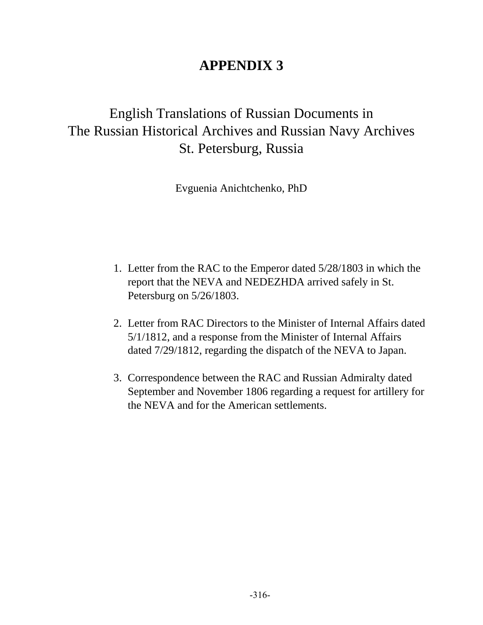## **APPENDIX 3**

# English Translations of Russian Documents in The Russian Historical Archives and Russian Navy Archives St. Petersburg, Russia

Evguenia Anichtchenko, PhD

- 1. Letter from the RAC to the Emperor dated 5/28/1803 in which the report that the NEVA and NEDEZHDA arrived safely in St. Petersburg on 5/26/1803.
- 2. Letter from RAC Directors to the Minister of Internal Affairs dated 5/1/1812, and a response from the Minister of Internal Affairs dated 7/29/1812, regarding the dispatch of the NEVA to Japan.
- 3. Correspondence between the RAC and Russian Admiralty dated September and November 1806 regarding a request for artillery for the NEVA and for the American settlements.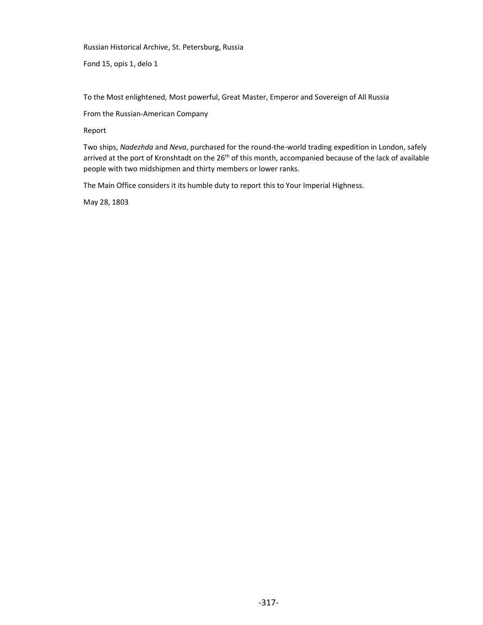Russian Historical Archive, St. Petersburg, Russia

Fond 15, opis 1, delo 1

To the Most enlightened, Most powerful, Great Master, Emperor and Sovereign of All Russia

From the Russian-American Company

Report

Two ships, Nadezhda and Neva, purchased for the round-the-world trading expedition in London, safely arrived at the port of Kronshtadt on the 26<sup>th</sup> of this month, accompanied because of the lack of available people with two midshipmen and thirty members or lower ranks.

The Main Office considers it its humble duty to report this to Your Imperial Highness.

May 28, 1803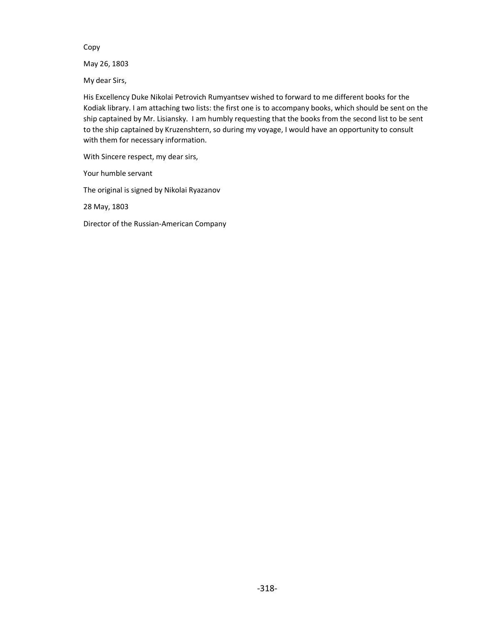Copy

May 26, 1803

My dear Sirs,

His Excellency Duke Nikolai Petrovich Rumyantsev wished to forward to me different books for the Kodiak library. I am attaching two lists: the first one is to accompany books, which should be sent on the ship captained by Mr. Lisiansky. I am humbly requesting that the books from the second list to be sent to the ship captained by Kruzenshtern, so during my voyage, I would have an opportunity to consult with them for necessary information.

With Sincere respect, my dear sirs,

Your humble servant

The original is signed by Nikolai Ryazanov

28 May, 1803

Director of the Russian-American Company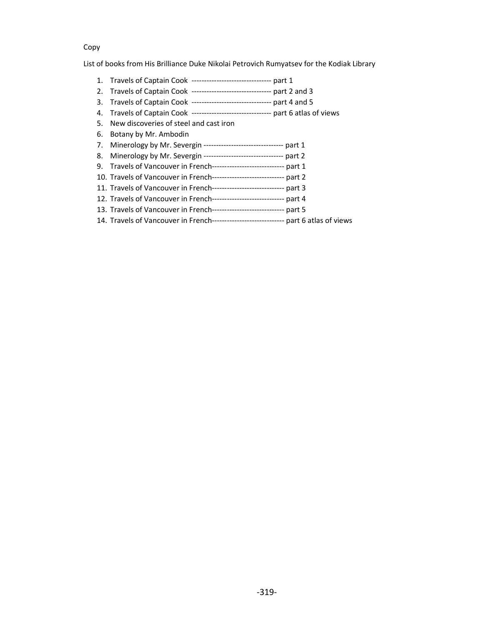#### Copy

List of books from His Brilliance Duke Nikolai Petrovich Rumyatsev for the Kodiak Library

- 1. Travels of Captain Cook -------------------------------- part 1
- 2. Travels of Captain Cook -------------------------------- part 2 and 3
- 3. Travels of Captain Cook -------------------------------- part 4 and 5
- 4. Travels of Captain Cook -------------------------------- part 6 atlas of views
- 5. New discoveries of steel and cast iron
- 6. Botany by Mr. Ambodin
- 7. Minerology by Mr. Severgin -------------------------------- part 1
- 8. Minerology by Mr. Severgin -------------------------------- part 2
- 9. Travels of Vancouver in French----------------------------- part 1
- 10. Travels of Vancouver in French----------------------------- part 2
- 11. Travels of Vancouver in French----------------------------- part 3
- 12. Travels of Vancouver in French----------------------------- part 4
- 13. Travels of Vancouver in French----------------------------- part 5
- 14. Travels of Vancouver in French----------------------------- part 6 atlas of views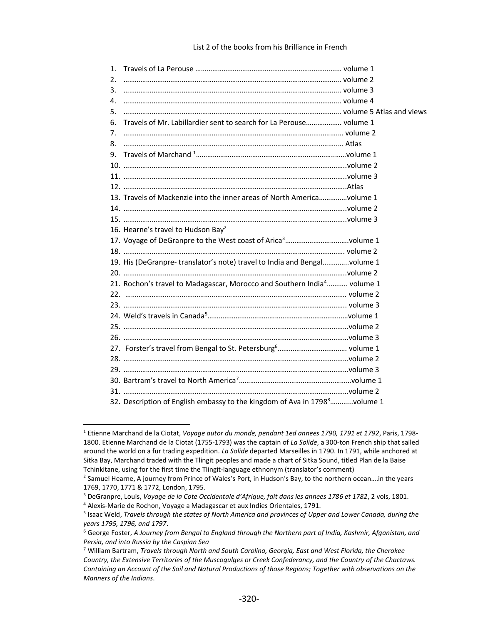| 1. |                                                                                     |  |
|----|-------------------------------------------------------------------------------------|--|
| 2. |                                                                                     |  |
| 3. |                                                                                     |  |
| 4. |                                                                                     |  |
|    |                                                                                     |  |
| 5. |                                                                                     |  |
| 6. | Travels of Mr. Labillardier sent to search for La Perouse volume 1                  |  |
| 7. |                                                                                     |  |
| 8. |                                                                                     |  |
|    |                                                                                     |  |
|    |                                                                                     |  |
|    |                                                                                     |  |
|    |                                                                                     |  |
|    | 13. Travels of Mackenzie into the inner areas of North Americavolume 1              |  |
|    |                                                                                     |  |
|    |                                                                                     |  |
|    | 16. Hearne's travel to Hudson Bay <sup>2</sup>                                      |  |
|    | 17. Voyage of DeGranpre to the West coast of Arica <sup>3</sup> volume 1            |  |
|    |                                                                                     |  |
|    | 19. His (DeGranpre-translator's note) travel to India and Bengalvolume 1            |  |
|    |                                                                                     |  |
|    | 21. Rochon's travel to Madagascar, Morocco and Southern India <sup>4</sup> volume 1 |  |
|    |                                                                                     |  |
|    |                                                                                     |  |
|    |                                                                                     |  |
|    |                                                                                     |  |
|    |                                                                                     |  |
|    |                                                                                     |  |
|    |                                                                                     |  |
|    |                                                                                     |  |
|    |                                                                                     |  |
|    |                                                                                     |  |
|    | 32. Description of English embassy to the kingdom of Ava in 17988volume 1           |  |
|    |                                                                                     |  |

<sup>&</sup>lt;sup>1</sup> Etienne Marchand de la Ciotat, Voyage autor du monde, pendant 1ed annees 1790, 1791 et 1792, Paris, 1798-1800. Etienne Marchand de la Ciotat (1755-1793) was the captain of La Solide, a 300-ton French ship that sailed around the world on a fur trading expedition. La Solide departed Marseilles in 1790. In 1791, while anchored at Sitka Bay, Marchand traded with the Tlingit peoples and made a chart of Sitka Sound, titled Plan de la Baise Tchinkitane, using for the first time the Tlingit-language ethnonym (translator's comment)

<sup>2</sup> Samuel Hearne, A journey from Prince of Wales's Port, in Hudson's Bay, to the northern ocean….in the years 1769, 1770, 1771 & 1772, London, 1795.

<sup>&</sup>lt;sup>3</sup> DeGranpre, Louis, Voyage de la Cote Occidentale d'Afrique, fait dans les annees 1786 et 1782, 2 vols, 1801.

<sup>&</sup>lt;sup>4</sup> Alexis-Marie de Rochon, Voyage a Madagascar et aux Indies Orientales, 1791.

<sup>&</sup>lt;sup>5</sup> Isaac Weld, Travels through the states of North America and provinces of Upper and Lower Canada, during the years 1795, 1796, and 1797.

 $^6$  George Foster, A Journey from Bengal to England through the Northern part of India, Kashmir, Afganistan, and Persia, and into Russia by the Caspian Sea

<sup>&</sup>lt;sup>7</sup> William Bartram, Travels through North and South Carolina, Georgia, East and West Florida, the Cherokee Country, the Extensive Territories of the Muscogulges or Creek Confederancy, and the Country of the Chactaws. Containing an Account of the Soil and Natural Productions of those Regions; Together with observations on the Manners of the Indians.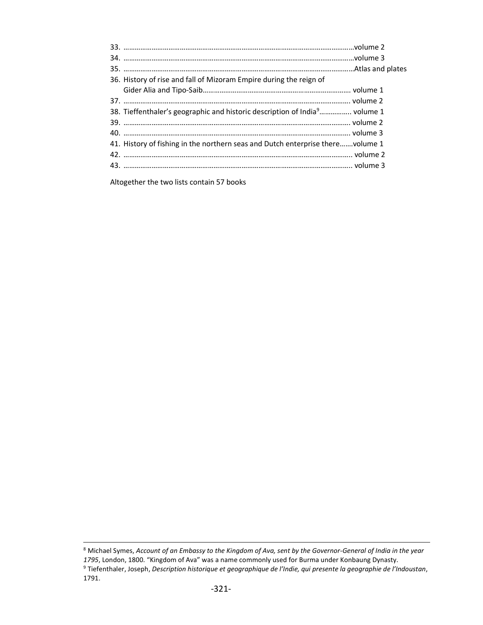| 36. History of rise and fall of Mizoram Empire during the reign of                     |  |
|----------------------------------------------------------------------------------------|--|
|                                                                                        |  |
|                                                                                        |  |
| 38. Tieffenthaler's geographic and historic description of India <sup>9</sup> volume 1 |  |
|                                                                                        |  |
|                                                                                        |  |
| 41. History of fishing in the northern seas and Dutch enterprise therevolume 1         |  |
|                                                                                        |  |
|                                                                                        |  |
|                                                                                        |  |

Altogether the two lists contain 57 books

 $^8$  Michael Symes, Account of an Embassy to the Kingdom of Ava, sent by the Governor-General of India in the year 1795, London, 1800. "Kingdom of Ava" was a name commonly used for Burma under Konbaung Dynasty. <sup>9</sup> Tiefenthaler, Joseph, Description historique et geographique de l'Indie, qui presente la geographie de l'Indoustan, 1791.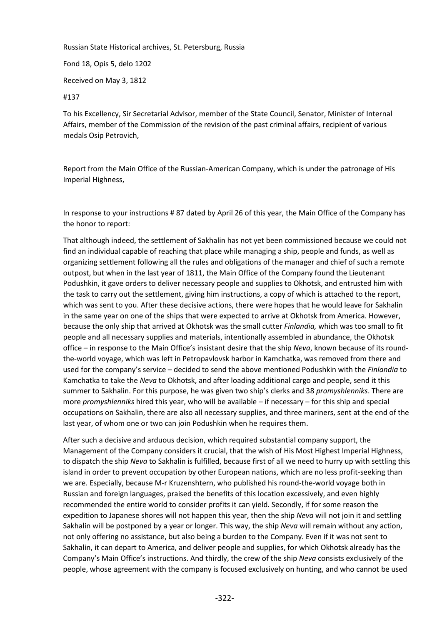Russian State Historical archives, St. Petersburg, Russia

Fond 18, Opis 5, delo 1202

Received on May 3, 1812

#137

To his Excellency, Sir Secretarial Advisor, member of the State Council, Senator, Minister of Internal Affairs, member of the Commission of the revision of the past criminal affairs, recipient of various medals Osip Petrovich,

Report from the Main Office of the Russian-American Company, which is under the patronage of His Imperial Highness,

In response to your instructions # 87 dated by April 26 of this year, the Main Office of the Company has the honor to report:

That although indeed, the settlement of Sakhalin has not yet been commissioned because we could not find an individual capable of reaching that place while managing a ship, people and funds, as well as organizing settlement following all the rules and obligations of the manager and chief of such a remote outpost, but when in the last year of 1811, the Main Office of the Company found the Lieutenant Podushkin, it gave orders to deliver necessary people and supplies to Okhotsk, and entrusted him with the task to carry out the settlement, giving him instructions, a copy of which is attached to the report, which was sent to you. After these decisive actions, there were hopes that he would leave for Sakhalin in the same year on one of the ships that were expected to arrive at Okhotsk from America. However, because the only ship that arrived at Okhotsk was the small cutter *Finlandia,* which was too small to fit people and all necessary supplies and materials, intentionally assembled in abundance, the Okhotsk office – in response to the Main Office's insistant desire that the ship *Neva*, known because of its roundthe-world voyage, which was left in Petropavlovsk harbor in Kamchatka, was removed from there and used for the company's service – decided to send the above mentioned Podushkin with the *Finlandia* to Kamchatka to take the *Neva* to Okhotsk, and after loading additional cargo and people, send it this summer to Sakhalin. For this purpose, he was given two ship's clerks and 38 *promyshlenniks*. There are more *promyshlenniks* hired this year, who will be available – if necessary – for this ship and special occupations on Sakhalin, there are also all necessary supplies, and three mariners, sent at the end of the last year, of whom one or two can join Podushkin when he requires them.

After such a decisive and arduous decision, which required substantial company support, the Management of the Company considers it crucial, that the wish of His Most Highest Imperial Highness, to dispatch the ship *Neva* to Sakhalin is fulfilled, because first of all we need to hurry up with settling this island in order to prevent occupation by other European nations, which are no less profit-seeking than we are. Especially, because M-r Kruzenshtern, who published his round-the-world voyage both in Russian and foreign languages, praised the benefits of this location excessively, and even highly recommended the entire world to consider profits it can yield. Secondly, if for some reason the expedition to Japanese shores will not happen this year, then the ship *Neva* will not join it and settling Sakhalin will be postponed by a year or longer. This way, the ship *Neva* will remain without any action, not only offering no assistance, but also being a burden to the Company. Even if it was not sent to Sakhalin, it can depart to America, and deliver people and supplies, for which Okhotsk already has the Company's Main Office's instructions. And thirdly, the crew of the ship *Neva* consists exclusively of the people, whose agreement with the company is focused exclusively on hunting, and who cannot be used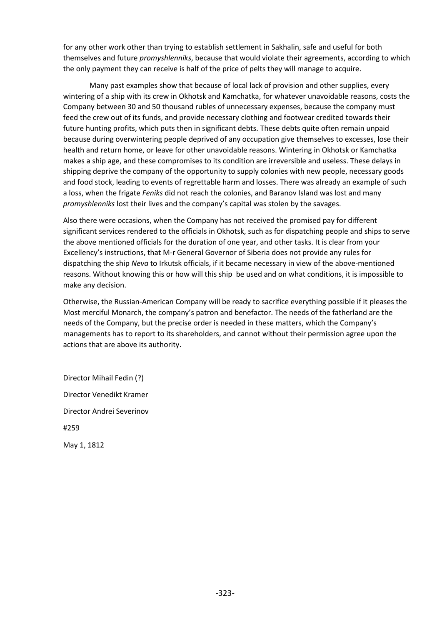for any other work other than trying to establish settlement in Sakhalin, safe and useful for both themselves and future *promyshlenniks*, because that would violate their agreements, according to which the only payment they can receive is half of the price of pelts they will manage to acquire.

Many past examples show that because of local lack of provision and other supplies, every wintering of a ship with its crew in Okhotsk and Kamchatka, for whatever unavoidable reasons, costs the Company between 30 and 50 thousand rubles of unnecessary expenses, because the company must feed the crew out of its funds, and provide necessary clothing and footwear credited towards their future hunting profits, which puts then in significant debts. These debts quite often remain unpaid because during overwintering people deprived of any occupation give themselves to excesses, lose their health and return home, or leave for other unavoidable reasons. Wintering in Okhotsk or Kamchatka makes a ship age, and these compromises to its condition are irreversible and useless. These delays in shipping deprive the company of the opportunity to supply colonies with new people, necessary goods and food stock, leading to events of regrettable harm and losses. There was already an example of such a loss, when the frigate *Feniks* did not reach the colonies, and Baranov Island was lost and many *promyshlenniks* lost their lives and the company's capital was stolen by the savages.

Also there were occasions, when the Company has not received the promised pay for different significant services rendered to the officials in Okhotsk, such as for dispatching people and ships to serve the above mentioned officials for the duration of one year, and other tasks. It is clear from your Excellency's instructions, that M-r General Governor of Siberia does not provide any rules for dispatching the ship *Neva* to Irkutsk officials, if it became necessary in view of the above-mentioned reasons. Without knowing this or how will this ship be used and on what conditions, it is impossible to make any decision.

Otherwise, the Russian-American Company will be ready to sacrifice everything possible if it pleases the Most merciful Monarch, the company's patron and benefactor. The needs of the fatherland are the needs of the Company, but the precise order is needed in these matters, which the Company's managements has to report to its shareholders, and cannot without their permission agree upon the actions that are above its authority.

Director Mihail Fedin (?) Director Venedikt Kramer Director Andrei Severinov #259 May 1, 1812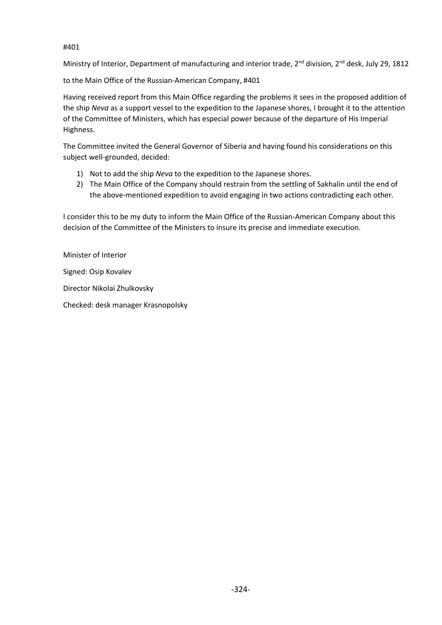#401

Ministry of Interior, Department of manufacturing and interior trade, 2<sup>nd</sup> division, 2<sup>nd</sup> desk, July 29, 1812

to the Main Office of the Russian-American Company, #401

Having received report from this Main Office regarding the problems it sees in the proposed addition of the ship *Neva* as a support vessel to the expedition to the Japanese shores, I brought it to the attention of the Committee of Ministers, which has especial power because of the departure of His Imperial Highness.

The Committee invited the General Governor of Siberia and having found his considerations on this subject well-grounded, decided:

- 1) Not to add the ship *Neva* to the expedition to the Japanese shores.
- 2) The Main Office of the Company should restrain from the settling of Sakhalin until the end of the above-mentioned expedition to avoid engaging in two actions contradicting each other.

I consider this to be my duty to inform the Main Office of the Russian-American Company about this decision of the Committee of the Ministers to insure its precise and immediate execution.

Minister of Interior Signed: Osip Kovalev Director Nikolai Zhulkovsky

Checked: desk manager Krasnopolsky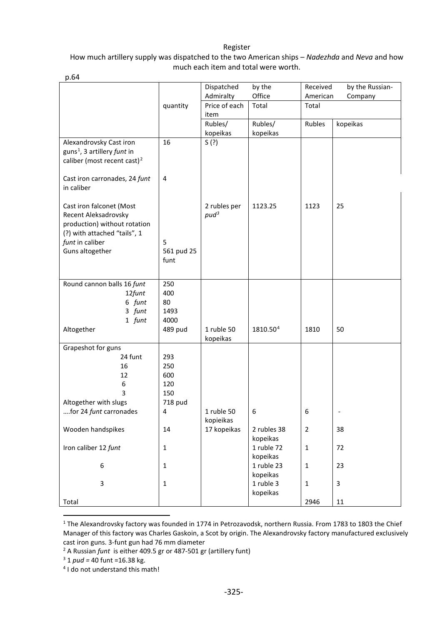#### Register

#### How much artillery supply was dispatched to the two American ships – *Nadezhda* and *Neva* and how much each item and total were worth.

| p.64                                        |                |                          |             |                |                 |
|---------------------------------------------|----------------|--------------------------|-------------|----------------|-----------------|
|                                             |                | Dispatched               | by the      | Received       | by the Russian- |
|                                             |                | Admiralty                | Office      | American       | Company         |
|                                             | quantity       | Price of each            | Total       | Total          |                 |
|                                             |                | item                     |             |                |                 |
|                                             |                | Rubles/                  | Rubles/     | Rubles         | kopeikas        |
|                                             |                | kopeikas                 | kopeikas    |                |                 |
| Alexandrovsky Cast iron                     | 16             | S(?)                     |             |                |                 |
| guns <sup>1</sup> , 3 artillery funt in     |                |                          |             |                |                 |
| caliber (most recent cast) <sup>2</sup>     |                |                          |             |                |                 |
|                                             | $\overline{4}$ |                          |             |                |                 |
| Cast iron carronades, 24 funt<br>in caliber |                |                          |             |                |                 |
|                                             |                |                          |             |                |                 |
| Cast iron falconet (Most                    |                | 2 rubles per             | 1123.25     | 1123           | 25              |
| Recent Aleksadrovsky                        |                | $pud^3$                  |             |                |                 |
| production) without rotation                |                |                          |             |                |                 |
| (?) with attached "tails", 1                |                |                          |             |                |                 |
| funt in caliber                             | 5              |                          |             |                |                 |
| Guns altogether                             | 561 pud 25     |                          |             |                |                 |
|                                             | funt           |                          |             |                |                 |
|                                             |                |                          |             |                |                 |
| Round cannon balls 16 funt                  | 250            |                          |             |                |                 |
| 12funt                                      | 400            |                          |             |                |                 |
| 6 funt                                      | 80             |                          |             |                |                 |
| 3 funt                                      | 1493           |                          |             |                |                 |
| 1 funt                                      | 4000           |                          |             |                |                 |
| Altogether                                  | 489 pud        | 1 ruble 50               | 1810.504    | 1810           | 50              |
|                                             |                | kopeikas                 |             |                |                 |
| Grapeshot for guns                          |                |                          |             |                |                 |
| 24 funt                                     | 293            |                          |             |                |                 |
| 16                                          | 250            |                          |             |                |                 |
| 12                                          | 600            |                          |             |                |                 |
| 6                                           | 120            |                          |             |                |                 |
| 3                                           | 150            |                          |             |                |                 |
| Altogether with slugs                       | 718 pud        |                          |             |                |                 |
| for 24 funt carronades                      | 4              | 1 ruble 50               | 6           | 6              | -               |
| Wooden handspikes                           | 14             | kopieikas<br>17 kopeikas | 2 rubles 38 | $\overline{2}$ | 38              |
|                                             |                |                          | kopeikas    |                |                 |
| Iron caliber 12 funt                        | $\mathbf{1}$   |                          | 1 ruble 72  | $\mathbf{1}$   | 72              |
|                                             |                |                          | kopeikas    |                |                 |
| 6                                           | $\mathbf{1}$   |                          | 1 ruble 23  | $\mathbf 1$    | 23              |
|                                             |                |                          | kopeikas    |                |                 |
| 3                                           | $\mathbf{1}$   |                          | 1 ruble 3   | $\mathbf{1}$   | 3               |
|                                             |                |                          | kopeikas    |                |                 |
| Total                                       |                |                          |             | 2946           | $11\,$          |

<span id="page-9-0"></span><sup>1</sup> The Alexandrovsky factory was founded in 1774 in Petrozavodsk, northern Russia. From 1783 to 1803 the Chief Manager of this factory was Charles Gaskoin, a Scot by origin. The Alexandrovsky factory manufactured exclusively cast iron guns. 3-funt gun had 76 mm diameter

<span id="page-9-2"></span><span id="page-9-1"></span><sup>&</sup>lt;sup>2</sup> A Russian *funt* is either 409.5 gr or 487-501 gr (artillery funt)<br><sup>3</sup> 1 *pud* = 40 funt =16.38 kg.<br><sup>4</sup> I do not understand this math!

<span id="page-9-3"></span>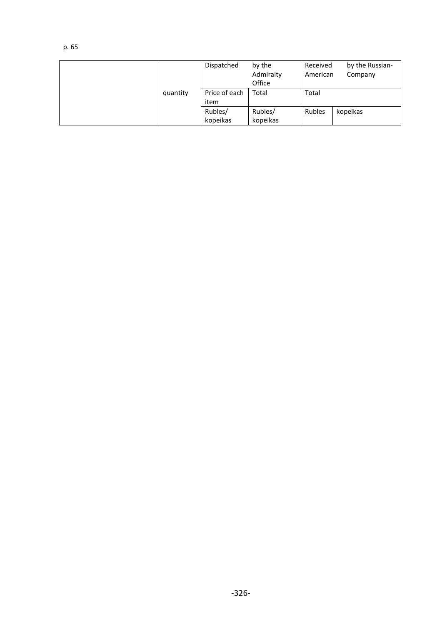|          | Dispatched    | by the<br>Admiralty<br>Office | Received<br>American | by the Russian-<br>Company |
|----------|---------------|-------------------------------|----------------------|----------------------------|
| quantity | Price of each | Total                         | Total                |                            |
|          | item          |                               |                      |                            |
|          | Rubles/       | Rubles/                       | Rubles               | kopeikas                   |
|          | kopeikas      | kopeikas                      |                      |                            |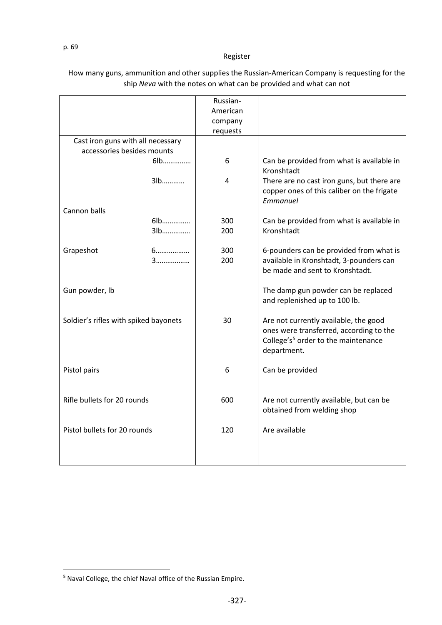#### Register

| 6   | Can be provided from what is available in<br>Kronshtadt                                              |
|-----|------------------------------------------------------------------------------------------------------|
| 4   | There are no cast iron guns, but there are<br>copper ones of this caliber on the frigate<br>Emmanuel |
|     |                                                                                                      |
| 300 | Can be provided from what is available in                                                            |
| 200 | Kronshtadt                                                                                           |
|     |                                                                                                      |
| 300 | 6-pounders can be provided from what is                                                              |
| 200 | available in Kronshtadt, 3-pounders can                                                              |
|     | be made and sent to Kronshtadt.                                                                      |
|     |                                                                                                      |
|     | The damp gun powder can be replaced                                                                  |
|     | and replenished up to 100 lb.                                                                        |
|     |                                                                                                      |
| 30  | Are not currently available, the good                                                                |
|     | ones were transferred, according to the                                                              |
|     | College's <sup>5</sup> order to the maintenance                                                      |
|     | department.                                                                                          |
|     |                                                                                                      |
| 6   | Can be provided                                                                                      |
|     |                                                                                                      |
|     |                                                                                                      |
| 600 | Are not currently available, but can be                                                              |
|     | obtained from welding shop                                                                           |
|     |                                                                                                      |
|     | Are available                                                                                        |
|     |                                                                                                      |
|     |                                                                                                      |
|     |                                                                                                      |
|     | Russian-<br>American<br>company<br>requests<br>120                                                   |

### How many guns, ammunition and other supplies the Russian-American Company is requesting for the ship *Neva* with the notes on what can be provided and what can not

<span id="page-11-0"></span><sup>5</sup> Naval College, the chief Naval office of the Russian Empire.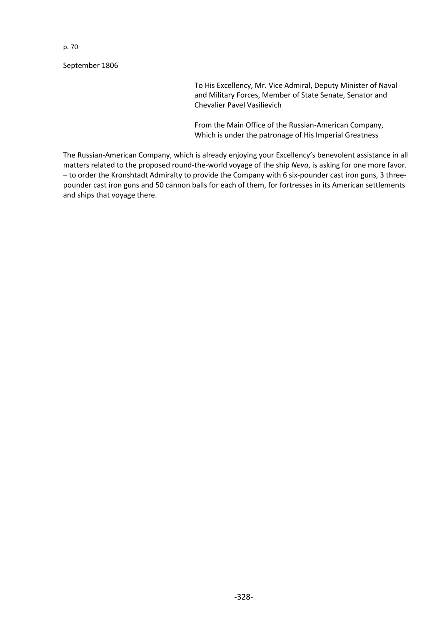September 1806

To His Excellency, Mr. Vice Admiral, Deputy Minister of Naval and Military Forces, Member of State Senate, Senator and Chevalier Pavel Vasilievich

From the Main Office of the Russian-American Company, Which is under the patronage of His Imperial Greatness

The Russian-American Company, which is already enjoying your Excellency's benevolent assistance in all matters related to the proposed round-the-world voyage of the ship *Neva*, is asking for one more favor. – to order the Kronshtadt Admiralty to provide the Company with 6 six-pounder cast iron guns, 3 threepounder cast iron guns and 50 cannon balls for each of them, for fortresses in its American settlements and ships that voyage there.

p. 70